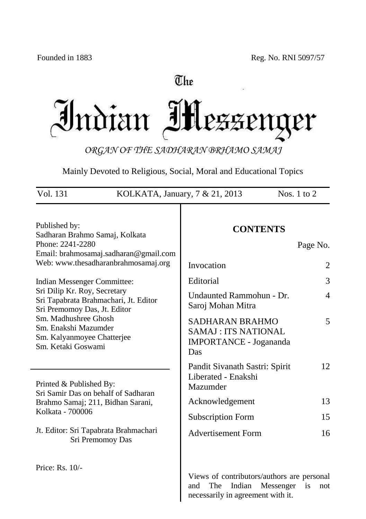# The Indian Mezzenger

*ORGAN OF THE SADHARAN BRHAMO SAMAJ*

Mainly Devoted to Religious, Social, Moral and Educational Topics

| Vol. 131<br>KOLKATA, January, 7 & 21, 2013                                                                                                                   |                                                                                                                      | Nos. $1$ to $2$            |
|--------------------------------------------------------------------------------------------------------------------------------------------------------------|----------------------------------------------------------------------------------------------------------------------|----------------------------|
| Published by:<br>Sadharan Brahmo Samaj, Kolkata<br>Phone: 2241-2280<br>Email: brahmosamaj.sadharan@gmail.com<br>Web: www.thesadharanbrahmosamaj.org          | <b>CONTENTS</b><br>Invocation                                                                                        | Page No.<br>$\overline{2}$ |
| Indian Messenger Committee:<br>Sri Dilip Kr. Roy, Secretary<br>Sri Tapabrata Brahmachari, Jt. Editor<br>Sri Premomoy Das, Jt. Editor<br>Sm. Madhushree Ghosh | Editorial<br>Undaunted Rammohun - Dr.<br>Saroj Mohan Mitra                                                           | 3<br>$\overline{4}$        |
| Sm. Enakshi Mazumder<br>Sm. Kalyanmoyee Chatterjee<br>Sm. Ketaki Goswami                                                                                     | <b>SADHARAN BRAHMO</b><br><b>SAMAJ: ITS NATIONAL</b><br><b>IMPORTANCE - Jogananda</b><br>Das                         | 5<br>12                    |
| Printed & Published By:<br>Sri Samir Das on behalf of Sadharan<br>Brahmo Samaj; 211, Bidhan Sarani,                                                          | Pandit Sivanath Sastri: Spirit<br>Liberated - Enakshi<br>Mazumder<br>Acknowledgement                                 | 13                         |
| Kolkata - 700006<br>Jt. Editor: Sri Tapabrata Brahmachari<br>Sri Premomoy Das                                                                                | <b>Subscription Form</b><br><b>Advertisement Form</b>                                                                | 15<br>16                   |
| Price: Rs. 10/-                                                                                                                                              | Views of contributors/authors are personal<br>Indian<br>Messenger<br>The<br>and<br>necessarily in agreement with it. | is<br>not                  |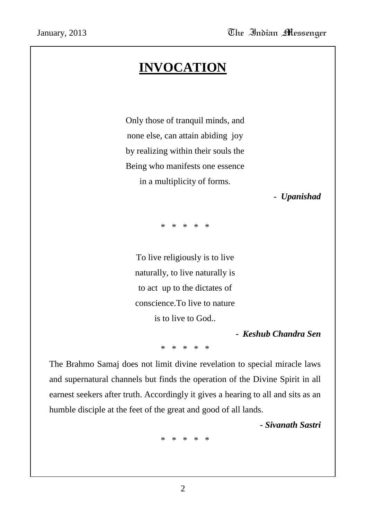# **INVOCATION**

Only those of tranquil minds, and none else, can attain abiding joy by realizing within their souls the Being who manifests one essence in a multiplicity of forms.

*- Upanishad*

\* \* \* \* \*

To live religiously is to live naturally, to live naturally is to act up to the dictates of conscience.To live to nature is to live to God..

*- Keshub Chandra Sen*

\* \* \* \* \*

The Brahmo Samaj does not limit divine revelation to special miracle laws and supernatural channels but finds the operation of the Divine Spirit in all earnest seekers after truth. Accordingly it gives a hearing to all and sits as an humble disciple at the feet of the great and good of all lands.

*- Sivanath Sastri*

\* \* \* \* \*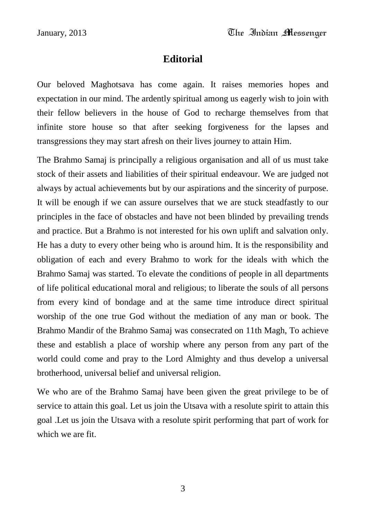## **Editorial**

Our beloved Maghotsava has come again. It raises memories hopes and expectation in our mind. The ardently spiritual among us eagerly wish to join with their fellow believers in the house of God to recharge themselves from that infinite store house so that after seeking forgiveness for the lapses and transgressions they may start afresh on their lives journey to attain Him.

The Brahmo Samaj is principally a religious organisation and all of us must take stock of their assets and liabilities of their spiritual endeavour. We are judged not always by actual achievements but by our aspirations and the sincerity of purpose. It will be enough if we can assure ourselves that we are stuck steadfastly to our principles in the face of obstacles and have not been blinded by prevailing trends and practice. But a Brahmo is not interested for his own uplift and salvation only. He has a duty to every other being who is around him. It is the responsibility and obligation of each and every Brahmo to work for the ideals with which the Brahmo Samaj was started. To elevate the conditions of people in all departments of life political educational moral and religious; to liberate the souls of all persons from every kind of bondage and at the same time introduce direct spiritual worship of the one true God without the mediation of any man or book. The Brahmo Mandir of the Brahmo Samaj was consecrated on 11th Magh, To achieve these and establish a place of worship where any person from any part of the world could come and pray to the Lord Almighty and thus develop a universal brotherhood, universal belief and universal religion.

We who are of the Brahmo Samaj have been given the great privilege to be of service to attain this goal. Let us join the Utsava with a resolute spirit to attain this goal .Let us join the Utsava with a resolute spirit performing that part of work for which we are fit.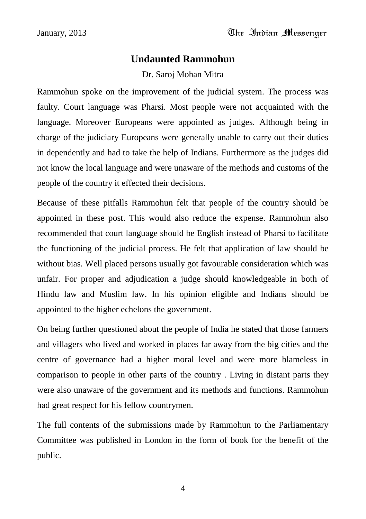## **Undaunted Rammohun**

Dr. Saroj Mohan Mitra

Rammohun spoke on the improvement of the judicial system. The process was faulty. Court language was Pharsi. Most people were not acquainted with the language. Moreover Europeans were appointed as judges. Although being in charge of the judiciary Europeans were generally unable to carry out their duties in dependently and had to take the help of Indians. Furthermore as the judges did not know the local language and were unaware of the methods and customs of the people of the country it effected their decisions.

Because of these pitfalls Rammohun felt that people of the country should be appointed in these post. This would also reduce the expense. Rammohun also recommended that court language should be English instead of Pharsi to facilitate the functioning of the judicial process. He felt that application of law should be without bias. Well placed persons usually got favourable consideration which was unfair. For proper and adjudication a judge should knowledgeable in both of Hindu law and Muslim law. In his opinion eligible and Indians should be appointed to the higher echelons the government.

On being further questioned about the people of India he stated that those farmers and villagers who lived and worked in places far away from the big cities and the centre of governance had a higher moral level and were more blameless in comparison to people in other parts of the country . Living in distant parts they were also unaware of the government and its methods and functions. Rammohun had great respect for his fellow countrymen.

The full contents of the submissions made by Rammohun to the Parliamentary Committee was published in London in the form of book for the benefit of the public.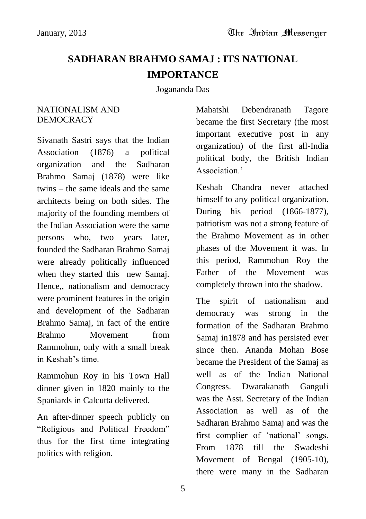## **SADHARAN BRAHMO SAMAJ : ITS NATIONAL IMPORTANCE**

Jogananda Das

#### NATIONALISM AND DEMOCRACY

Sivanath Sastri says that the Indian Association (1876) a political organization and the Sadharan Brahmo Samaj (1878) were like twins – the same ideals and the same architects being on both sides. The majority of the founding members of the Indian Association were the same persons who, two years later, founded the Sadharan Brahmo Samaj were already politically influenced when they started this new Samaj. Hence,, nationalism and democracy were prominent features in the origin and development of the Sadharan Brahmo Samaj, in fact of the entire Brahmo Movement from Rammohun, only with a small break in Keshab"s time.

Rammohun Roy in his Town Hall dinner given in 1820 mainly to the Spaniards in Calcutta delivered.

An after-dinner speech publicly on "Religious and Political Freedom" thus for the first time integrating politics with religion.

Mahatshi Debendranath Tagore became the first Secretary (the most important executive post in any organization) of the first all-India political body, the British Indian Association<sup>"</sup>

Keshab Chandra never attached himself to any political organization. During his period (1866-1877), patriotism was not a strong feature of the Brahmo Movement as in other phases of the Movement it was. In this period, Rammohun Roy the Father of the Movement was completely thrown into the shadow.

The spirit of nationalism and democracy was strong in the formation of the Sadharan Brahmo Samaj in1878 and has persisted ever since then. Ananda Mohan Bose became the President of the Samaj as well as of the Indian National Congress. Dwarakanath Ganguli was the Asst. Secretary of the Indian Association as well as of the Sadharan Brahmo Samaj and was the first complier of 'national' songs. From 1878 till the Swadeshi Movement of Bengal (1905-10), there were many in the Sadharan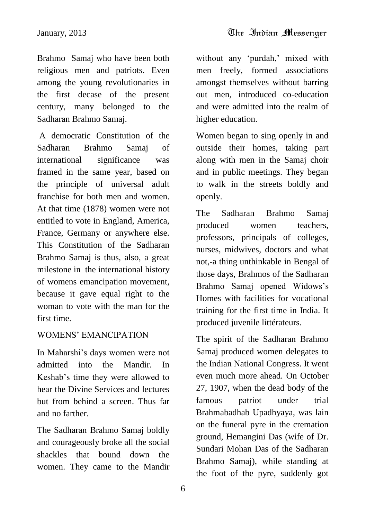Brahmo Samaj who have been both religious men and patriots. Even among the young revolutionaries in the first decase of the present century, many belonged to the Sadharan Brahmo Samaj.

A democratic Constitution of the Sadharan Brahmo Samaj of international significance was framed in the same year, based on the principle of universal adult franchise for both men and women. At that time (1878) women were not entitled to vote in England, America, France, Germany or anywhere else. This Constitution of the Sadharan Brahmo Samaj is thus, also, a great milestone in the international history of womens emancipation movement, because it gave equal right to the woman to vote with the man for the first time.

## WOMENS" EMANCIPATION

In Maharshi"s days women were not admitted into the Mandir. In Keshab"s time they were allowed to hear the Divine Services and lectures but from behind a screen. Thus far and no farther.

The Sadharan Brahmo Samaj boldly and courageously broke all the social shackles that bound down the women. They came to the Mandir without any 'purdah,' mixed with men freely, formed associations amongst themselves without barring out men, introduced co-education and were admitted into the realm of higher education.

Women began to sing openly in and outside their homes, taking part along with men in the Samaj choir and in public meetings. They began to walk in the streets boldly and openly.

The Sadharan Brahmo Samaj produced women teachers, professors, principals of colleges, nurses, midwives, doctors and what not,-a thing unthinkable in Bengal of those days, Brahmos of the Sadharan Brahmo Samaj opened Widows"s Homes with facilities for vocational training for the first time in India. It produced juvenile littérateurs.

The spirit of the Sadharan Brahmo Samaj produced women delegates to the Indian National Congress. It went even much more ahead. On October 27, 1907, when the dead body of the famous patriot under trial Brahmabadhab Upadhyaya, was lain on the funeral pyre in the cremation ground, Hemangini Das (wife of Dr. Sundari Mohan Das of the Sadharan Brahmo Samaj), while standing at the foot of the pyre, suddenly got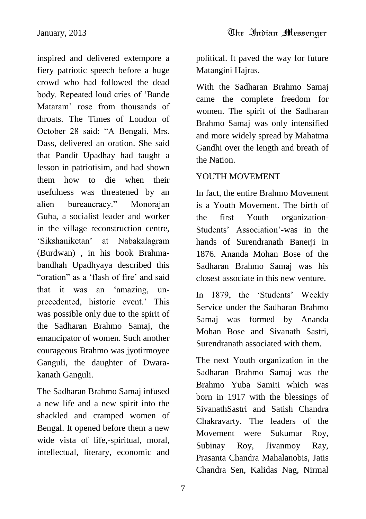inspired and delivered extempore a fiery patriotic speech before a huge crowd who had followed the dead body. Repeated loud cries of "Bande Mataram" rose from thousands of throats. The Times of London of October 28 said: "A Bengali, Mrs. Dass, delivered an oration. She said that Pandit Upadhay had taught a lesson in patriotisim, and had shown them how to die when their usefulness was threatened by an alien bureaucracy." Monorajan Guha, a socialist leader and worker in the village reconstruction centre, "Sikshaniketan" at Nabakalagram (Burdwan) , in his book Brahmabandhah Upadhyaya described this "oration" as a 'flash of fire' and said that it was an "amazing, unprecedented, historic event." This was possible only due to the spirit of the Sadharan Brahmo Samaj, the emancipator of women. Such another courageous Brahmo was jyotirmoyee Ganguli, the daughter of Dwarakanath Ganguli.

The Sadharan Brahmo Samaj infused a new life and a new spirit into the shackled and cramped women of Bengal. It opened before them a new wide vista of life,-spiritual, moral, intellectual, literary, economic and

political. It paved the way for future Matangini Hajras.

With the Sadharan Brahmo Samaj came the complete freedom for women. The spirit of the Sadharan Brahmo Samaj was only intensified and more widely spread by Mahatma Gandhi over the length and breath of the Nation.

## YOUTH MOVEMENT

In fact, the entire Brahmo Movement is a Youth Movement. The birth of the first Youth organization-Students" Association"-was in the hands of Surendranath Banerji in 1876. Ananda Mohan Bose of the Sadharan Brahmo Samaj was his closest associate in this new venture.

In 1879, the 'Students' Weekly Service under the Sadharan Brahmo Samaj was formed by Ananda Mohan Bose and Sivanath Sastri, Surendranath associated with them.

The next Youth organization in the Sadharan Brahmo Samaj was the Brahmo Yuba Samiti which was born in 1917 with the blessings of SivanathSastri and Satish Chandra Chakravarty. The leaders of the Movement were Sukumar Roy, Subinay Roy, Jivanmoy Ray, Prasanta Chandra Mahalanobis, Jatis Chandra Sen, Kalidas Nag, Nirmal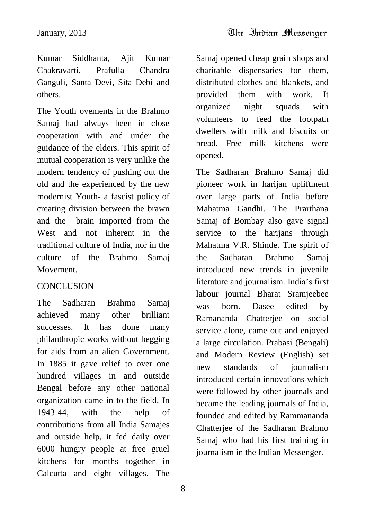Kumar Siddhanta, Ajit Kumar Chakravarti, Prafulla Chandra Ganguli, Santa Devi, Sita Debi and others.

The Youth ovements in the Brahmo Samaj had always been in close cooperation with and under the guidance of the elders. This spirit of mutual cooperation is very unlike the modern tendency of pushing out the old and the experienced by the new modernist Youth- a fascist policy of creating division between the brawn and the brain imported from the West and not inherent in the traditional culture of India, nor in the culture of the Brahmo Samaj Movement.

## **CONCLUSION**

The Sadharan Brahmo Samaj achieved many other brilliant successes. It has done many philanthropic works without begging for aids from an alien Government. In 1885 it gave relief to over one hundred villages in and outside Bengal before any other national organization came in to the field. In 1943-44, with the help of contributions from all India Samajes and outside help, it fed daily over 6000 hungry people at free gruel kitchens for months together in Calcutta and eight villages. The

Samaj opened cheap grain shops and charitable dispensaries for them, distributed clothes and blankets, and provided them with work. It organized night squads with volunteers to feed the footpath dwellers with milk and biscuits or bread. Free milk kitchens were opened.

The Sadharan Brahmo Samaj did pioneer work in harijan upliftment over large parts of India before Mahatma Gandhi. The Prarthana Samaj of Bombay also gave signal service to the harijans through Mahatma V.R. Shinde. The spirit of the Sadharan Brahmo Samaj introduced new trends in juvenile literature and journalism. India"s first labour journal Bharat Sramjeebee was born. Dasee edited by Ramananda Chatterjee on social service alone, came out and enjoyed a large circulation. Prabasi (Bengali) and Modern Review (English) set new standards of journalism introduced certain innovations which were followed by other journals and became the leading journals of India, founded and edited by Rammananda Chatterjee of the Sadharan Brahmo Samaj who had his first training in journalism in the Indian Messenger.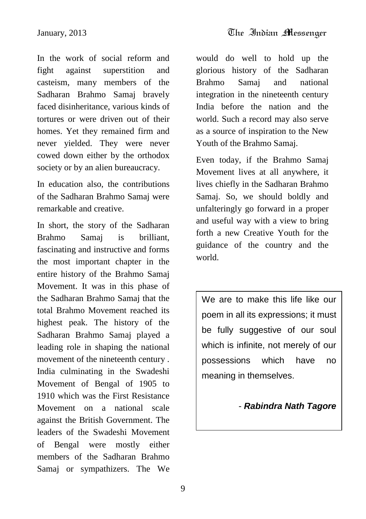In the work of social reform and fight against superstition and casteism, many members of the Sadharan Brahmo Samaj bravely faced disinheritance, various kinds of tortures or were driven out of their homes. Yet they remained firm and never yielded. They were never cowed down either by the orthodox society or by an alien bureaucracy.

In education also, the contributions of the Sadharan Brahmo Samaj were remarkable and creative.

In short, the story of the Sadharan Brahmo Samaj is brilliant, fascinating and instructive and forms the most important chapter in the entire history of the Brahmo Samaj Movement. It was in this phase of the Sadharan Brahmo Samaj that the total Brahmo Movement reached its highest peak. The history of the Sadharan Brahmo Samaj played a leading role in shaping the national movement of the nineteenth century . India culminating in the Swadeshi Movement of Bengal of 1905 to 1910 which was the First Resistance Movement on a national scale against the British Government. The leaders of the Swadeshi Movement of Bengal were mostly either members of the Sadharan Brahmo Samaj or sympathizers. The We

would do well to hold up the glorious history of the Sadharan Brahmo Samaj and national integration in the nineteenth century India before the nation and the world. Such a record may also serve as a source of inspiration to the New Youth of the Brahmo Samaj.

Even today, if the Brahmo Samaj Movement lives at all anywhere, it lives chiefly in the Sadharan Brahmo Samaj. So, we should boldly and unfalteringly go forward in a proper and useful way with a view to bring forth a new Creative Youth for the guidance of the country and the world.

We are to make this life like our poem in all its expressions; it must be fully suggestive of our soul which is infinite, not merely of our possessions which have no meaning in themselves.

- *Rabindra Nath Tagore*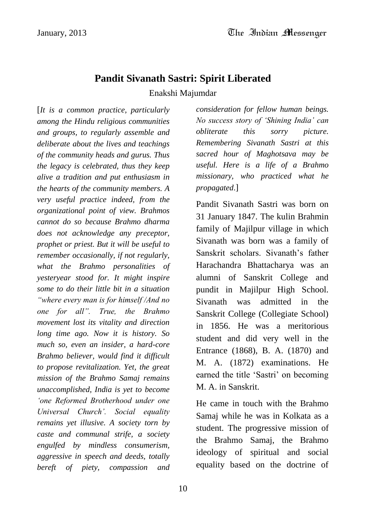## **Pandit Sivanath Sastri: Spirit Liberated** Enakshi Majumdar

[*It is a common practice, particularly among the Hindu religious communities and groups, to regularly assemble and deliberate about the lives and teachings of the community heads and gurus. Thus the legacy is celebrated, thus they keep alive a tradition and put enthusiasm in the hearts of the community members. A very useful practice indeed, from the organizational point of view. Brahmos cannot do so because Brahmo dharma does not acknowledge any preceptor, prophet or priest. But it will be useful to remember occasionally, if not regularly, what the Brahmo personalities of yesteryear stood for. It might inspire some to do their little bit in a situation "where every man is for himself /And no one for all". True, the Brahmo movement lost its vitality and direction long time ago. Now it is history. So much so, even an insider, a hard-core Brahmo believer, would find it difficult to propose revitalization. Yet, the great mission of the Brahmo Samaj remains unaccomplished, India is yet to become "one Reformed Brotherhood under one Universal Church". Social equality remains yet illusive. A society torn by caste and communal strife, a society engulfed by mindless consumerism, aggressive in speech and deeds, totally bereft of piety, compassion and* 

*consideration for fellow human beings. No success story of "Shining India" can obliterate this sorry picture. Remembering Sivanath Sastri at this sacred hour of Maghotsava may be useful. Here is a life of a Brahmo missionary, who practiced what he propagated*.]

Pandit Sivanath Sastri was born on 31 January 1847. The kulin Brahmin family of Majilpur village in which Sivanath was born was a family of Sanskrit scholars. Sivanath's father Harachandra Bhattacharya was an alumni of Sanskrit College and pundit in Majilpur High School. Sivanath was admitted in the Sanskrit College (Collegiate School) in 1856. He was a meritorious student and did very well in the Entrance (1868), B. A. (1870) and M. A. (1872) examinations. He earned the title 'Sastri' on becoming M. A. in Sanskrit.

He came in touch with the Brahmo Samaj while he was in Kolkata as a student. The progressive mission of the Brahmo Samaj, the Brahmo ideology of spiritual and social equality based on the doctrine of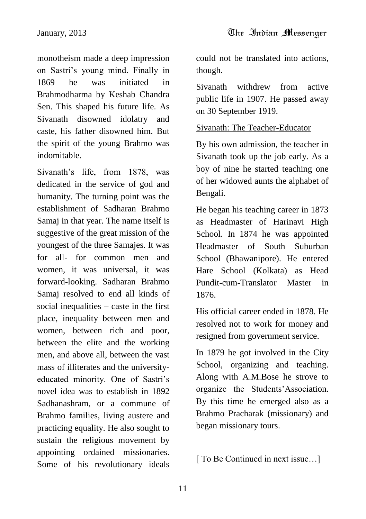monotheism made a deep impression on Sastri"s young mind. Finally in 1869 he was initiated in Brahmodharma by Keshab Chandra Sen. This shaped his future life. As Sivanath disowned idolatry and caste, his father disowned him. But the spirit of the young Brahmo was indomitable.

Sivanath's life, from 1878, was dedicated in the service of god and humanity. The turning point was the establishment of Sadharan Brahmo Samaj in that year. The name itself is suggestive of the great mission of the youngest of the three Samajes. It was for all- for common men and women, it was universal, it was forward-looking. Sadharan Brahmo Samaj resolved to end all kinds of social inequalities – caste in the first place, inequality between men and women, between rich and poor, between the elite and the working men, and above all, between the vast mass of illiterates and the universityeducated minority. One of Sastri's novel idea was to establish in 1892 Sadhanashram, or a commune of Brahmo families, living austere and practicing equality. He also sought to sustain the religious movement by appointing ordained missionaries. Some of his revolutionary ideals

could not be translated into actions, though.

Sivanath withdrew from active public life in 1907. He passed away on 30 September 1919.

## Sivanath: The Teacher-Educator

By his own admission, the teacher in Sivanath took up the job early. As a boy of nine he started teaching one of her widowed aunts the alphabet of Bengali.

He began his teaching career in 1873 as Headmaster of Harinavi High School. In 1874 he was appointed Headmaster of South Suburban School (Bhawanipore). He entered Hare School (Kolkata) as Head Pundit-cum-Translator Master in 1876.

His official career ended in 1878. He resolved not to work for money and resigned from government service.

In 1879 he got involved in the City School, organizing and teaching. Along with A.M.Bose he strove to organize the Students"Association. By this time he emerged also as a Brahmo Pracharak (missionary) and began missionary tours.

[ To Be Continued in next issue...]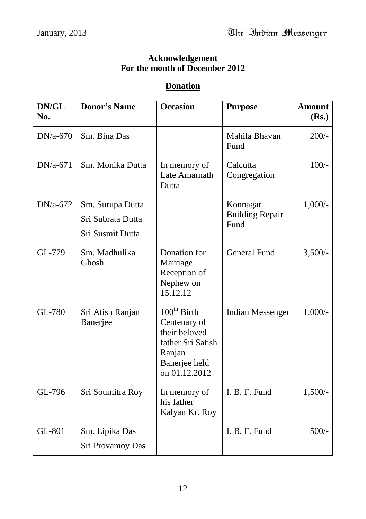#### **Acknowledgement For the month of December 2012**

## **Donation**

| DN/GL<br>No. | <b>Donor's Name</b>          | <b>Occasion</b>                                                                                                           | <b>Purpose</b>                     | <b>Amount</b><br>(Rs.) |
|--------------|------------------------------|---------------------------------------------------------------------------------------------------------------------------|------------------------------------|------------------------|
| $DN/a-670$   | Sm. Bina Das                 |                                                                                                                           | Mahila Bhavan<br>Fund              | $200/-$                |
| DN/a-671     | Sm. Monika Dutta             | In memory of<br>Late Amarnath<br>Dutta                                                                                    | Calcutta<br>Congregation           | $100/-$                |
| $DN/a-672$   | Sm. Surupa Dutta             |                                                                                                                           | Konnagar<br><b>Building Repair</b> | $1,000/-$              |
|              | Sri Subrata Dutta            |                                                                                                                           | Fund                               |                        |
|              | Sri Susmit Dutta             |                                                                                                                           |                                    |                        |
| GL-779       | Sm. Madhulika<br>Ghosh       | Donation for<br>Marriage<br>Reception of<br>Nephew on<br>15.12.12                                                         | <b>General Fund</b>                | $3,500/-$              |
| GL-780       | Sri Atish Ranjan<br>Banerjee | $100^{\text{th}}$ Birth<br>Centenary of<br>their beloved<br>father Sri Satish<br>Ranjan<br>Banerjee held<br>on 01.12.2012 | <b>Indian Messenger</b>            | $1,000/-$              |
| GL-796       | Sri Soumitra Roy             | In memory of<br>his father<br>Kalyan Kr. Roy                                                                              | I. B. F. Fund                      | $1,500/-$              |
| GL-801       | Sm. Lipika Das               |                                                                                                                           | I. B. F. Fund                      | $500/-$                |
|              | Sri Provamoy Das             |                                                                                                                           |                                    |                        |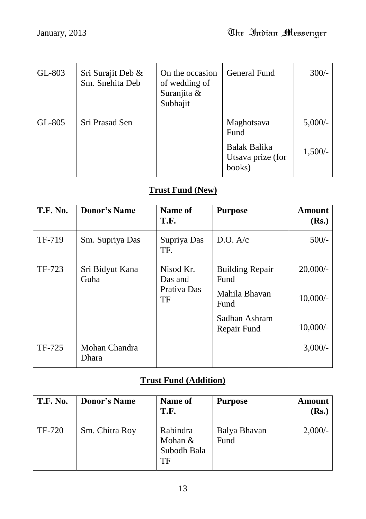| GL-803 | Sri Surajit Deb &<br>Sm. Snehita Deb | On the occasion<br>of wedding of<br>Suranjita &<br>Subhajit | <b>General Fund</b>                         | $300/-$    |
|--------|--------------------------------------|-------------------------------------------------------------|---------------------------------------------|------------|
| GL-805 | Sri Prasad Sen                       |                                                             | Maghotsava<br>Fund                          | $5,000/$ - |
|        |                                      |                                                             | Balak Balika<br>Utsava prize (for<br>books) | $1,500/-$  |

## **Trust Fund (New)**

| <b>T.F. No.</b> | <b>Donor's Name</b>     | Name of<br>T.F.                                  | <b>Purpose</b>                                                                          | Amount<br>(Rs.)                        |
|-----------------|-------------------------|--------------------------------------------------|-----------------------------------------------------------------------------------------|----------------------------------------|
| TF-719          | Sm. Supriya Das         | Supriya Das<br>TF.                               | D.O. A/c                                                                                | $500/-$                                |
| TF-723          | Sri Bidyut Kana<br>Guha | Nisod Kr.<br>Das and<br>Prativa Das<br><b>TF</b> | <b>Building Repair</b><br>Fund<br>Mahila Bhavan<br>Fund<br>Sadhan Ashram<br>Repair Fund | $20,000/-$<br>$10,000/-$<br>$10,000/-$ |
| TF-725          | Mohan Chandra<br>Dhara  |                                                  |                                                                                         | $3,000/-$                              |

## **Trust Fund (Addition)**

| <b>T.F. No.</b> | <b>Donor's Name</b> | Name of<br>T.F.                            | <b>Purpose</b>       | Amount<br>( <b>Rs.</b> ) |
|-----------------|---------------------|--------------------------------------------|----------------------|--------------------------|
| TF-720          | Sm. Chitra Roy      | Rabindra<br>Mohan $&$<br>Subodh Bala<br>TF | Balya Bhavan<br>Fund | $2,000/-$                |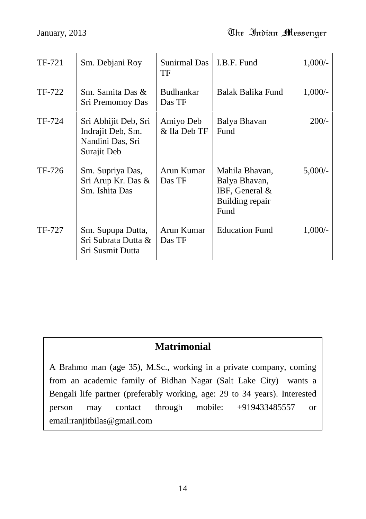| TF-721 | Sm. Debjani Roy                                                              | Sunirmal Das<br>TF         | I.B.F. Fund                                                                    | $1,000/-$ |
|--------|------------------------------------------------------------------------------|----------------------------|--------------------------------------------------------------------------------|-----------|
| TF-722 | Sm. Samita Das &<br>Sri Premomoy Das                                         | <b>Budhankar</b><br>Das TF | Balak Balika Fund                                                              | $1,000/-$ |
| TF-724 | Sri Abhijit Deb, Sri<br>Indrajit Deb, Sm.<br>Nandini Das, Sri<br>Surajit Deb | Amiyo Deb<br>& Ila Deb TF  | Balya Bhavan<br>Fund                                                           | $200/-$   |
| TF-726 | Sm. Supriya Das,<br>Sri Arup Kr. Das &<br>Sm. Ishita Das                     | Arun Kumar<br>Das TF       | Mahila Bhavan,<br>Balya Bhavan,<br>IBF, General $&$<br>Building repair<br>Fund | 5,000/    |
| TF-727 | Sm. Supupa Dutta,<br>Sri Subrata Dutta &<br>Sri Susmit Dutta                 | Arun Kumar<br>Das TF       | <b>Education Fund</b>                                                          | $1,000/-$ |

## **Matrimonial**

A Brahmo man (age 35), M.Sc., working in a private company, coming from an academic family of Bidhan Nagar (Salt Lake City) wants a Bengali life partner (preferably working, age: 29 to 34 years). Interested person may contact through mobile: +919433485557 or email:ranjitbilas@gmail.com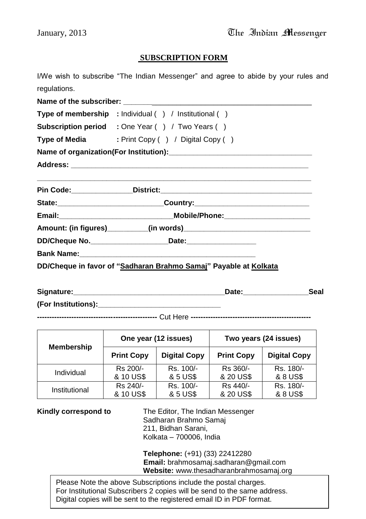#### **SUBSCRIPTION FORM**

I/We wish to subscribe "The Indian Messenger" and agree to abide by your rules and regulations.

**Name of the subscriber: with the subscriber with the subscriber with the subscriber with the subscriber with the subscriber with the subscriber with the subscriber with the subscriber with the subscriber Type of membership :** Individual ( ) / Institutional ( ) **Subscription period :** One Year ( ) / Two Years ( ) **Type of Media** : Print Copy ( ) / Digital Copy ( ) **Name of organization(For Institution):\_\_\_\_\_\_\_\_\_\_\_\_\_\_\_\_\_\_\_\_\_\_\_\_\_\_\_\_\_\_\_\_\_\_\_ Address: \_\_\_\_\_\_\_\_\_\_\_\_\_\_\_\_\_\_\_\_\_\_\_\_\_\_\_\_\_\_\_\_\_\_\_\_\_\_\_\_\_\_\_\_\_\_\_\_\_\_\_\_\_\_\_\_\_\_ \_\_\_\_\_\_\_\_\_\_\_\_\_\_\_\_\_\_\_\_\_\_\_\_\_\_\_\_\_\_\_\_\_\_\_\_\_\_\_\_\_\_\_\_\_\_\_\_\_\_\_\_\_\_\_\_\_\_\_\_\_\_\_\_\_\_\_ Pin Code:\_\_\_\_\_\_\_\_\_\_\_\_\_\_\_District:\_\_\_\_\_\_\_\_\_\_\_\_\_\_\_\_\_\_\_\_\_\_\_\_\_\_\_\_\_\_\_\_\_\_\_\_\_ State:\_\_\_\_\_\_\_\_\_\_\_\_\_\_\_\_\_\_\_\_\_\_\_\_\_\_Country:\_\_\_\_\_\_\_\_\_\_\_\_\_\_\_\_\_\_\_\_\_\_\_\_\_\_\_\_ Email:\_\_\_\_\_\_\_\_\_\_\_\_\_\_\_\_\_\_\_\_\_\_\_\_\_\_\_\_Mobile/Phone:\_\_\_\_\_\_\_\_\_\_\_\_\_\_\_\_\_\_\_\_\_ Amount: (in figures)\_\_\_\_\_\_\_\_\_\_(in words)\_\_\_\_\_\_\_\_\_\_\_\_\_\_\_\_\_\_\_\_\_\_\_\_\_\_\_\_\_\_\_ DD/Cheque No.\_\_\_\_\_\_\_\_\_\_\_\_\_\_\_\_\_\_\_Date:\_\_\_\_\_\_\_\_\_\_\_\_\_\_\_\_\_ Bank Name: DD/Cheque in favor of "Sadharan Brahmo Samaj" Payable at Kolkata**

| Signature:          | Date: | Seal |
|---------------------|-------|------|
| (For Institutions): |       |      |

**-------------------------------------------------** Cut Here **-------------------------------------------------**

| <b>Membership</b> |                   | One year (12 issues) | Two years (24 issues) |                     |
|-------------------|-------------------|----------------------|-----------------------|---------------------|
|                   | <b>Print Copy</b> | <b>Digital Copy</b>  | <b>Print Copy</b>     | <b>Digital Copy</b> |
| Individual        | Rs 200/-          | Rs. 100/-            | Rs 360/-              | Rs. 180/-           |
|                   | & 10 US\$         | & 5 US\$             | & 20 US\$             | & 8 US\$            |
| Institutional     | Rs 240/-          | Rs. 100/-            | Rs 440/-              | Rs. 180/-           |
|                   | & 10 US\$         | & 5 US\$             | & 20 US\$             | & 8 US\$            |

**Kindly correspond to** The Editor, The Indian Messenger Sadharan Brahmo Samaj 211, Bidhan Sarani, Kolkata – 700006, India

> **Telephone:** (+91) (33) 22412280 **Email:** brahmosamaj.sadharan@gmail.com **Website:** www.thesadharanbrahmosamaj.org

15 For Institutional Subscribers 2 copies will be send to the same address. Please Note the above Subscriptions include the postal charges. Digital copies will be sent to the registered email ID in PDF format.